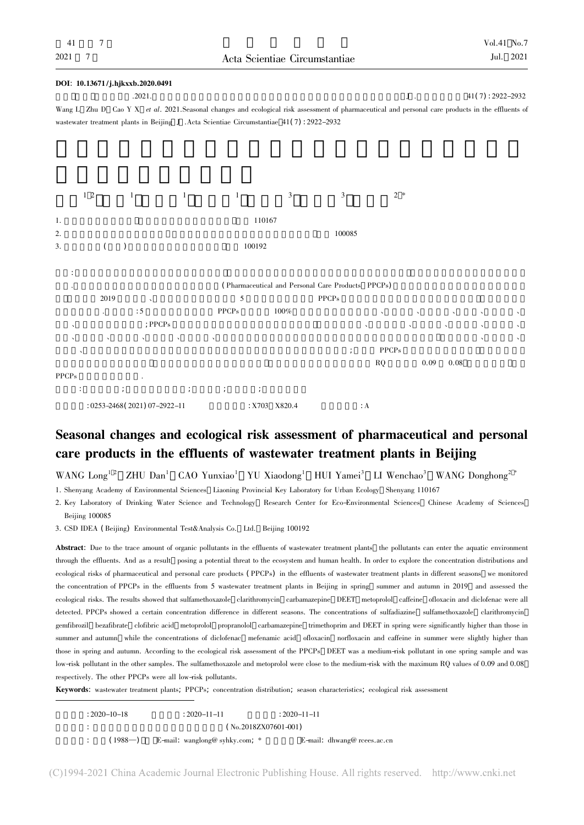## DOI: 10.13671 /j.hjkxxb.2020.0491  $1.2021.$   $1.3222 - 2932$ Wang L Zhu D Cao Y X et al. 2021.Seasonal changes and ecological risk assessment of pharmaceutical and personal care products in the effluents of wastewater treatment plants in Beijing J .Acta Scientiae Circumstantiae 41( 7) : 2922-2932



# Seasonal changes and ecological risk assessment of pharmaceutical and personal care products in the effluents of wastewater treatment plants in Beijing

 $WANG$  Long<sup>12</sup> ZHU Dan<sup>1</sup> CAO Yunxiao<sup>1</sup> YU Xiaodong<sup>1</sup> HUI Yamei<sup>3</sup> LI Wenchao<sup>3</sup> WANG Donghong<sup>2</sup><sup>\*</sup>

1. Shenyang Academy of Environmental Sciences Liaoning Provincial Key Laboratory for Urban Ecology Shenyang 110167

2. Key Laboratory of Drinking Water Science and Technology Research Center for Eco-Environmental Sciences Chinese Academy of Sciences Beijing 100085

3. CSD IDEA ( Beijing) Environmental Test&Analysis Co. Ltd. Beijing 100192

Abstract: Due to the trace amount of organic pollutants in the effluents of wastewater treatment plants the pollutants can enter the aquatic environment through the effluents. And as a result posing a potential threat to the ecosystem and human health. In order to explore the concentration distributions and ecological risks of pharmaceutical and personal care products ( PPCPs) in the effluents of wastewater treatment plants in different seasons we monitored the concentration of PPCPs in the effluents from 5 wastewater treatment plants in Beijing in spring summer and autumn in 2019 and assessed the ecological risks. The results showed that sulfamethoxazole clarithromycin carbamazepine DEET metoprolol caffeine ofloxacin and diclofenac were all detected. PPCPs showed a certain concentration difference in different seasons. The concentrations of sulfadiazine sulfamethoxazole clarithromycin gemfibrozil bezafibrate clofibric acid metoprolol propranolol carbamazepine trimethoprim and DEET in spring were significantly higher than those in summer and autumn while the concentrations of diclofenac mefenamic acid ofloxacin norfloxacin and caffeine in summer were slightly higher than those in spring and autumn. According to the ecological risk assessment of the PPCPs DEET was a medium-risk pollutant in one spring sample and was low-risk pollutant in the other samples. The sulfamethoxazole and metoprolol were close to the medium-risk with the maximum RQ values of 0.09 and 0.08 respectively. The other PPCPs were all low-risk pollutants.

Keywords: wastewater treatment plants; PPCPs; concentration distribution; season characteristics; ecological risk assessment

| $: 2020 - 10 - 18$ |        | $: 2020 - 11 - 11$               |                         | $: 2020 - 11 - 11$ |                             |
|--------------------|--------|----------------------------------|-------------------------|--------------------|-----------------------------|
|                    |        |                                  | $($ No.2018ZX07601-001) |                    |                             |
|                    | (1988) | E-mail: wanglong@ syhky.com; $*$ |                         |                    | E-mail: dhwang@ reees.ac.cn |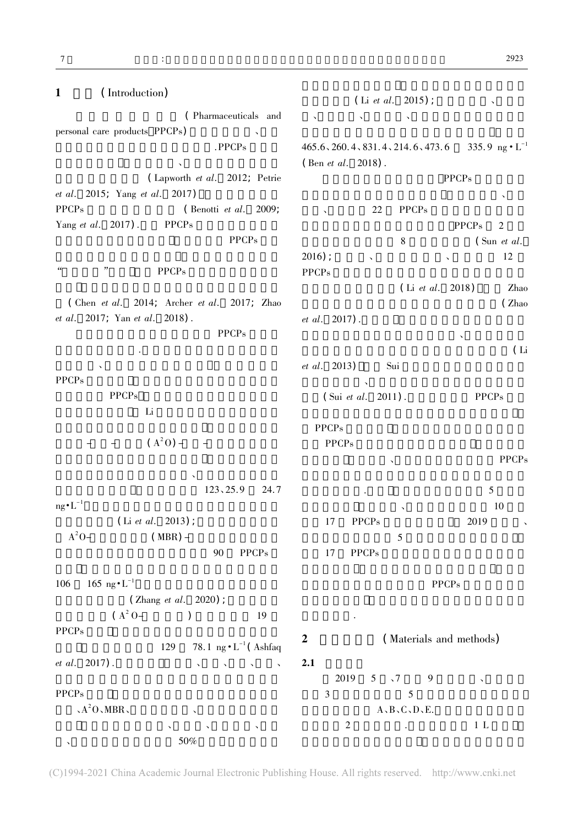$7$   $\vdots$ 

| (Introduction)<br>$\mathbf{1}$                 | (Li <i>et al.</i> 2015);                                     |      |
|------------------------------------------------|--------------------------------------------------------------|------|
| (Pharmaceuticals and                           | $\overline{\phantom{a}}$                                     |      |
| personal care products PPCPs)                  |                                                              |      |
| .PPCPs                                         | 335.9 ng $\cdot L^{-1}$<br>465.6, 260.4, 831.4, 214.6, 473.6 |      |
| (Lapworth et al. 2012; Petrie                  | (Ben <i>et al.</i> 2018).                                    |      |
| <i>et al.</i> 2015; Yang <i>et al.</i> 2017)   | <b>PPCPs</b>                                                 |      |
| <b>PPCPs</b><br>(Benotti et al. 2009;          | <b>PPCPs</b><br>22                                           |      |
| Yang et al. 2017).<br><b>PPCPs</b>             | <b>PPCPs</b><br>$\overline{2}$                               |      |
| <b>PPCPs</b>                                   | $\,8\,$<br>$\int$ Sun <i>et al.</i>                          |      |
|                                                | $2016$ ;<br>12                                               |      |
| "<br>$\epsilon\epsilon$<br><b>PPCPs</b>        | $\checkmark$<br><b>PPCPs</b>                                 |      |
|                                                | (Li et al. 2018)                                             | Zhao |
| (Chen et al. 2014; Archer et al. 2017; Zhao    | (Zhao                                                        |      |
| et al. 2017; Yan et al. 2018).                 | et al. 2017).                                                |      |
| <b>PPCPs</b>                                   |                                                              |      |
|                                                |                                                              | (Li  |
|                                                | <i>et al.</i> 2013)<br>Sui                                   |      |
| <b>PPCPs</b>                                   |                                                              |      |
| <b>PPCPs</b>                                   | (Sui et al. 2011).<br><b>PPCPs</b>                           |      |
| Li                                             |                                                              |      |
|                                                | <b>PPCPs</b>                                                 |      |
| $(A^2O)$ –                                     | <b>PPCPs</b>                                                 |      |
|                                                | <b>PPCPs</b>                                                 |      |
|                                                |                                                              |      |
| 123, 25.9<br>24.7                              | 5                                                            |      |
| $ng \cdot L^{-1}$                              | 10                                                           |      |
| (Li <i>et al.</i> 2013);                       | 2019<br><b>PPCPs</b><br>17                                   |      |
| $A^2O-$<br>$(MBR)$ –                           | 5                                                            |      |
| ${\rm PPCPs}$<br>90                            | 17<br><b>PPCPs</b>                                           |      |
|                                                |                                                              |      |
| 165 ng $\cdot L^{-1}$<br>106                   | <b>PPCPs</b>                                                 |      |
| (Zhang et al. 2020);                           |                                                              |      |
| $(A^2 O -$<br>19                               |                                                              |      |
| <b>PPCPs</b>                                   |                                                              |      |
| 78.1 ng $\cdot$ L <sup>-1</sup> (Ashfaq<br>129 | (Materials and methods)<br>$\boldsymbol{2}$                  |      |
| et al. 2017).<br>$\sim$ $\sim$<br>$\bar{ }$    | 2.1                                                          |      |
|                                                | 2019<br>$5 \sqrt{7}$<br>9<br>$\checkmark$                    |      |
| <b>PPCPs</b>                                   | 3<br>5                                                       |      |
| $A^2O$ , MBR,<br>$\checkmark$                  | $A$ , $B$ , $C$ , $D$ , $E$ .                                |      |
| $\checkmark$<br>$\sim$ $\sim$                  | $\mathfrak{2}$<br>1 L                                        |      |
| $50\%$                                         |                                                              |      |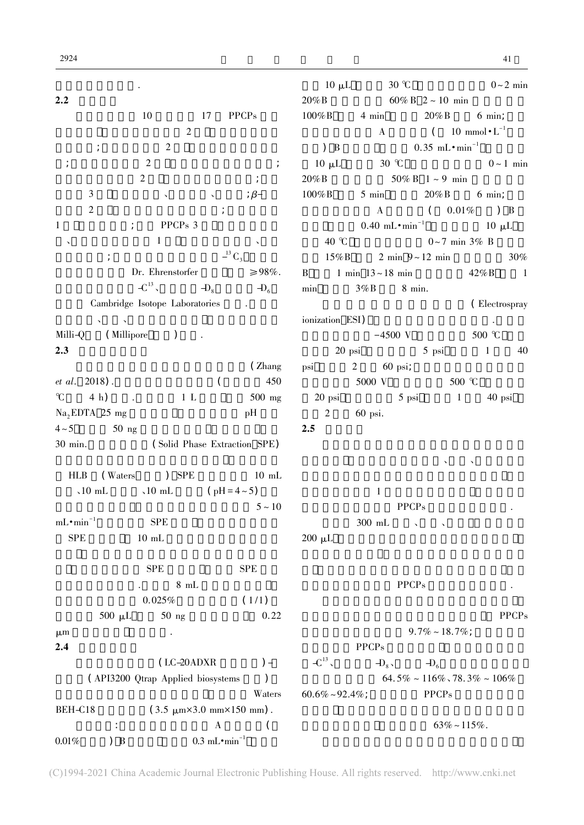|                             |                                                   |                                        | $10 \mu L$             | $30^\circ \text{C}$            |                                           | $0 \sim 2$ min                                          |
|-----------------------------|---------------------------------------------------|----------------------------------------|------------------------|--------------------------------|-------------------------------------------|---------------------------------------------------------|
| 2.2                         |                                                   |                                        |                        | $20\% B$ 60% B $2 \sim 10$ min |                                           |                                                         |
|                             | 10<br>17                                          | <b>PPCPs</b>                           | $100\%$ B              |                                | 4 min $20\% B$ 6 min;                     |                                                         |
|                             | $\overline{2}$                                    |                                        |                        |                                | A $(10 \text{ mmol} \cdot \text{L}^{-1})$ |                                                         |
| $\cdot$                     | $\overline{2}$                                    |                                        | $\rightarrow$ B        |                                | $0.35 \text{ mL} \cdot \text{min}^{-1}$   |                                                         |
|                             | $\overline{2}$                                    | $\frac{1}{l}$                          | $10 \mu L$             |                                |                                           | 30 °C $0 \sim 1$ min                                    |
|                             | $\overline{2}$                                    |                                        | 20%B                   |                                | $50\% \text{ B}$ 1 ~ 9 min                |                                                         |
| $\mathfrak{Z}$              | $\boldsymbol{\checkmark}$                         | $\beta -$                              | $100\%$ B              |                                | 5 min 20% B                               | $6 \text{ min}$                                         |
| $\overline{2}$              |                                                   | $\frac{1}{l}$                          |                        | $\bf{A}$                       |                                           | $(0.01\%)$ B                                            |
| $\mathbf 1$                 | PPCPs 3                                           |                                        |                        |                                |                                           | 0.40 mL $\cdot$ min <sup>-1</sup> 10 µL                 |
|                             | $\mathbf{1}$                                      |                                        | 40 °C                  |                                | $0 \sim 7$ min 3% B                       |                                                         |
|                             |                                                   | $-$ <sup>13</sup> $C_3$                |                        |                                |                                           | $15\%$ B 2 min $9 \sim 12$ min 30%                      |
|                             | Dr. Ehrenstorfer                                  | $\geq 98\%$ .                          |                        | B 1 min $13 \sim 18$ min       |                                           | $42\% B$ 1                                              |
|                             | $-C^{13}$<br>$-$ D <sub>8</sub>                   | $- D_6$                                |                        | min $3\%B$ 8 min.              |                                           |                                                         |
|                             | Cambridge Isotope Laboratories                    |                                        |                        |                                |                                           | (Electrospray                                           |
| $\Delta \sim 1000$ $\Delta$ |                                                   |                                        | ionization ESI)        |                                |                                           | $\mathcal{L}(\mathcal{A})$ , $\mathcal{A}(\mathcal{A})$ |
| Milli-Q $(Millipore)$       |                                                   |                                        |                        | $-4500$ V                      |                                           | 500 °C                                                  |
| 2.3                         |                                                   |                                        |                        | $20$ psi                       |                                           | 5 psi 1 40                                              |
|                             |                                                   | (Zhang                                 | psi                    | 2 60 psi;                      |                                           |                                                         |
| <i>et al.</i> 2018).        |                                                   | 450<br>$\left($                        |                        |                                | 5000 V 500 °C                             |                                                         |
| $\mathcal{C}$ 4 h).         | $1 \,$ L                                          | $500$ mg                               |                        | 20 psi 5 psi 1 40 psi          |                                           |                                                         |
| $Na2EDTA$ 25 mg             |                                                   | pH                                     | $\overline{2}$         | 60 psi.                        |                                           |                                                         |
| $4 \sim 5$ 50 ng            |                                                   |                                        | 2.5                    |                                |                                           |                                                         |
| 30 min.                     | (Solid Phase Extraction SPE)                      |                                        |                        |                                |                                           |                                                         |
|                             |                                                   |                                        |                        |                                |                                           |                                                         |
| HLB (Waters ) SPE           |                                                   | $10 \text{ mL}$                        |                        |                                |                                           |                                                         |
|                             | $\sqrt{10}$ mL $\sqrt{10}$ mL $(pH = 4 \sim 5)$   |                                        |                        | 1                              |                                           |                                                         |
|                             |                                                   | $5 - 10$                               |                        |                                | <b>PPCPs</b>                              |                                                         |
| $mL \cdot min$              | <b>SPE</b>                                        |                                        |                        | $300\,$ mL                     | $\checkmark$                              |                                                         |
| <b>SPE</b>                  | $10 \text{ mL}$                                   |                                        | $200 \mu L$            |                                |                                           |                                                         |
|                             |                                                   |                                        |                        |                                |                                           |                                                         |
|                             | <b>SPE</b>                                        | <b>SPE</b>                             |                        |                                |                                           |                                                         |
|                             | 8mL                                               |                                        |                        |                                | <b>PPCPs</b>                              |                                                         |
|                             | 0.025%                                            | (1/1)                                  |                        |                                |                                           |                                                         |
| $500 \mu L$                 | $50$ ng                                           | 0.22                                   |                        |                                |                                           | <b>PPCPs</b>                                            |
| $\mu$ m                     |                                                   |                                        |                        |                                | $9.7\% \sim 18.7\%$                       |                                                         |
| 2.4                         |                                                   |                                        |                        | <b>PPCPs</b>                   |                                           |                                                         |
|                             | (LC-20ADXR                                        | $) -$                                  | $-C^{13}$              |                                | $-D_8$ , $-D_6$                           |                                                         |
|                             | (API3200 Qtrap Applied biosystems                 |                                        |                        |                                |                                           | $64.5\% \sim 116\% \cdot 78.3\% \sim 106\%$             |
|                             |                                                   | Waters                                 | $60.6\% \sim 92.4\%$ ; |                                | <b>PPCPs</b>                              |                                                         |
| BEH-C18                     | $(3.5 \mu m \times 3.0 \mu m \times 150 \mu m)$ . |                                        |                        |                                |                                           |                                                         |
|                             |                                                   | A                                      |                        |                                |                                           | $63\% \sim 115\%$ .                                     |
| $0.01\%$<br>$)$ B           |                                                   | $0.3 \text{ mL} \cdot \text{min}^{-1}$ |                        |                                |                                           |                                                         |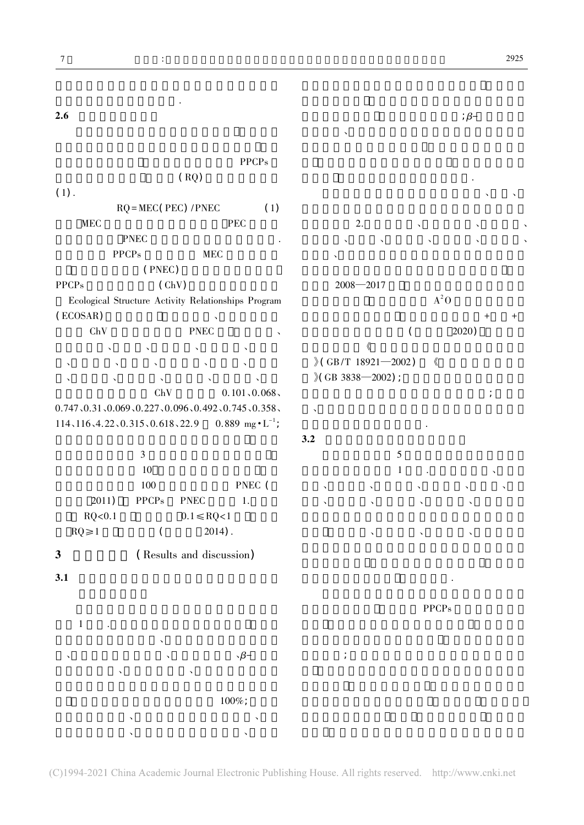

(C)1994-2021 China Academic Journal Electronic Publishing House. All rights reserved. http://www.cnki.net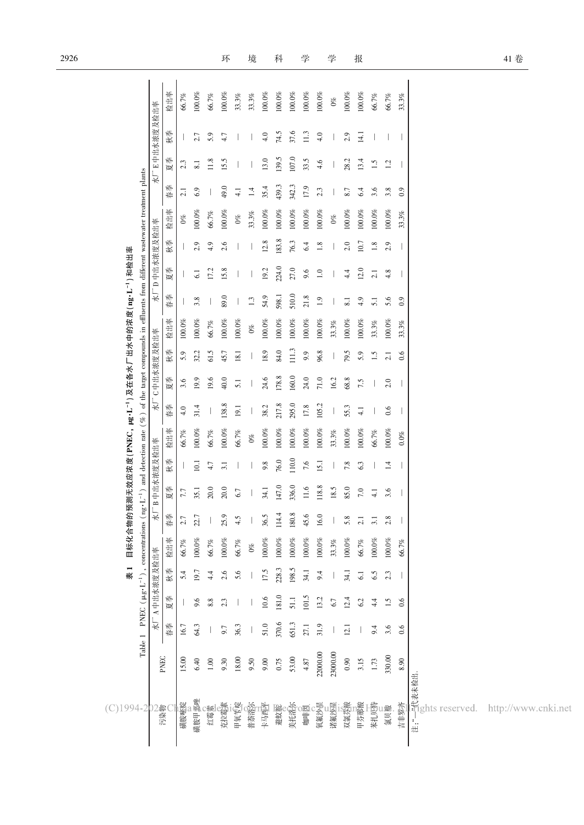| $(C)$ 1994-2                                          |          |                                                          |              | 表 1             | 目标化合物     |                    |              |                          | 的预测无效应浓度(PNEC,μg·L <sup>-1</sup> )及在各水厂出水中的浓度(ng·L <sup>-1</sup> )和检出率                                                                      |                  |                          |              |           |         |                 |         |           |                  |              |              |           |
|-------------------------------------------------------|----------|----------------------------------------------------------|--------------|-----------------|-----------|--------------------|--------------|--------------------------|---------------------------------------------------------------------------------------------------------------------------------------------|------------------|--------------------------|--------------|-----------|---------|-----------------|---------|-----------|------------------|--------------|--------------|-----------|
|                                                       |          | Table 1 PNEC ( $\mu$ g·L <sup>-1</sup> ), concentrations |              |                 |           |                    |              |                          | $(\text{ng} \cdot \text{L}^{-1})$ and detection rate $(\%)$ of the target compounds in effluents from different wastewater treatment plants |                  |                          |              |           |         |                 |         |           |                  |              |              |           |
|                                                       |          |                                                          | 水厂A中出水浓度及检出率 |                 |           |                    | 水厂B中出水浓度及检出率 |                          |                                                                                                                                             |                  | 水厂C中出水浓度及检出率             |              |           | 长       | D中出水浓度及检出率      |         |           |                  |              | 水厂E中出水浓度及检出率 |           |
| 污染物                                                   | PNEC     | 春季                                                       | 夏季           | 秋季              | 检出率       | $\frac{1}{2}$<br>春 | 夏季           | 秋季                       | 检出率                                                                                                                                         | 春季               | 夏季                       | 秋季           | 检出率       | 春季      | 夏季              | 秋季      | 检出率       | 春季               | 夏季           | 秋季           | 检出率       |
| 磺胺嘧啶                                                  | 15.00    | 16.7                                                     |              | 5.4             | 66.7%     | 2.7                | 7.7          |                          | 66.7%                                                                                                                                       | 4.0              | 3.6                      | 5.9          | $100.0\%$ |         |                 |         | $0\%$     | 2.1              | 2.3          |              | $66.7\%$  |
| 磺胺甲恶唑                                                 | 6.40     | 64.3                                                     | 9.6          | 19.7            | $100.0\%$ | 22.7               | 35.1         | 10.1                     | $100.0\%$                                                                                                                                   | 31.4             | 19.9                     | 32.2         | $100.0\%$ | 3.8     | $\overline{61}$ | 2.9     | $100.0\%$ | 6.9              | 8.1          | 2.7          | $100.0\%$ |
| 红霉素                                                   | $1.00\,$ |                                                          | 8.8          | 4.4             | $66.7\%$  |                    | 20.0         | 4.7                      | 66.7%                                                                                                                                       |                  | 19.6                     | 61.5         | 66.7%     |         | 17.2            | 4.9     | 66.7%     |                  | 11.8         | 5.9          | 66.7%     |
| 克拉霉素                                                  | 9.30     | 9.7                                                      | 2.3          | 2.6             | $100.0\%$ | 25.9               | 20.0         | 3.1                      | $100.0\%$                                                                                                                                   | 38.8             | 40.0                     | 45.7         | $100.0\%$ | 89.0    | 15.8            | 2.6     | $100.0\%$ | 49.0             | i.5          | 4.7          | 100.0%    |
| 甲氧苄啶                                                  | 18.00    | 36.3                                                     |              | 5.6             | $66.7\%$  | 4.5                | 6.7          |                          | 66.7%                                                                                                                                       | 19.1             | 5.1                      | 18.1         | $100.0\%$ |         |                 |         | $0\%$     | $\overline{4}$ . |              |              | $33.3\%$  |
| 普萊洛克                                                  | 9.50     |                                                          |              |                 | $0\%$     |                    |              |                          | $0\%$                                                                                                                                       |                  |                          |              | $0\%$     | $1.3\,$ |                 |         | $33.3\%$  | $1.4\,$          |              |              | 33.3%     |
| 卡马西平                                                  | 9.00     | 51.0                                                     | 10.6         | 17.5            | $100.0\%$ | 36.5               | 34.1         | 9.8                      | $100.0\%$                                                                                                                                   | 38.2             | 24.6                     | 18.9         | $100.0\%$ | 54.9    | 19.2            | 12.8    | $100.0\%$ | 35.4             | 13.0         | 4.0          | $100.0\%$ |
| 避蚊醒                                                   | 0.75     | 370.6                                                    | 181.0        | 228.3           | $100.0\%$ | 114.4              | 147.0        | 76.0                     | $100.0\%$                                                                                                                                   | 217.8            | 178.8                    | 84.0         | $100.0\%$ | 598.1   | 224.0           | 183.8   | $100.0\%$ | 439.3            | 139.5        | 74.5         | $100.0\%$ |
| 美托洛尔                                                  | 53.00    | 651.3                                                    | 51.1         | 198.5           | $100.0\%$ | $180.8\,$          | 336.0        | 110.0                    | $100.0\%$                                                                                                                                   | 295.0            | 160.0                    | 111.3        | $100.0\%$ | 510.0   | 27.0            | 76.3    | $100.0\%$ | 342.3            | 107.0        | 37.6         | $100.0\%$ |
| 咖啡園                                                   | 4.87     | 27.1                                                     | 101.5        | 34.1            | $100.0\%$ | 45.6               | 11.6         | 7.6                      | $100.0\%$                                                                                                                                   | 17.8             | 24.0                     | 9.9          | $100.0\%$ | 21.8    | 9.6             | 6.4     | $100.0\%$ | 17.9             | 33.5         | 11.3         | $100.0\%$ |
| 氧氟沙量                                                  | 22000.00 | 31.9                                                     | 13.2         | 9.4             | $100.0\%$ | 16.0               | 118.8        | 15.1                     | $100.0\%$                                                                                                                                   | 105.2            | 71.0                     | 96.8         | $100.0\%$ | $1.9\,$ | $1.0\,$         | $1.8\,$ | $100.0\%$ | 2.3              | 4.6          | 4.0          | $100.0\%$ |
| 诺氟沙星                                                  | 23000.00 |                                                          | $6.7\,$      |                 | $33.3\%$  |                    | 18.5         |                          | $33.3\%$                                                                                                                                    |                  | 16.2                     |              | $33.3\%$  |         |                 |         | $0\%$     |                  |              |              | $0\%$     |
| 双氯芬酸                                                  | 0.90     | 12.1                                                     | 12.4         | 34.1            | $100.0\%$ | 5.8                | 85.0         | 7.8                      | $100.0\%$                                                                                                                                   | 55.3             | 68.8                     | 79.5         | $100.0\%$ | 8.1     | 4.4             | 2.0     | $100.0\%$ | 8.7              | 28.2         | 2.9          | $100.0\%$ |
| 甲芬那酸                                                  | 3.15     |                                                          | 62           | $\overline{61}$ | $66.7\%$  | $\overline{c}$     | $7.0\,$      | 6.3                      | $100.0\%$                                                                                                                                   | $\overline{4.1}$ | 7.5                      | 5.9          | $100.0\%$ | 4.9     | 12.0            | 10.7    | $100.0\%$ | 6.4              | 13.4         | 14.1         | $100.0\%$ |
| 苯扎啶                                                   | 1.73     | 9.4                                                      | 4.4          | 6.5             | $100.0\%$ | $\overline{3}$ .   | $-1$         |                          | 66.7%                                                                                                                                       |                  |                          | $\ddot{ }$ . | $33.3\%$  | 5.1     | 2.1             | $1.8\,$ | $100.0\%$ | 3.6              | $\ddot{1.5}$ |              | 66.7%     |
| 氯贝酸                                                   | 330.00   | 3.6                                                      | 1.5          | 2.3             | $100.0\%$ | 2.8                | 3.6          | $\overline{14}$          | $100.0\%$                                                                                                                                   | 0.6              | 2.0                      | 2.1          | $100.0\%$ | 5.6     | 4.8             | 2.9     | $100.0\%$ | 3.8              | 1.2          |              | 66.7%     |
| 吉非罗齐                                                  | 8.90     | 0.6                                                      | 0.6          |                 | 66.7%     |                    |              | $\overline{\phantom{a}}$ | $0.0\%$                                                                                                                                     |                  | $\overline{\phantom{a}}$ | 0.6          | 33.3%     | 0.9     |                 |         | 33.3%     | 0.9              |              |              | $33.3\%$  |
| <del>:i</del><br><br>:有<br>:有ghts reserved.<br>。<br>进 |          |                                                          |              |                 |           |                    |              |                          |                                                                                                                                             |                  |                          |              |           |         |                 |         |           |                  |              |              |           |
| http://www.cnki.net                                   |          |                                                          |              |                 |           |                    |              |                          |                                                                                                                                             |                  |                          |              |           |         |                 |         |           |                  |              |              |           |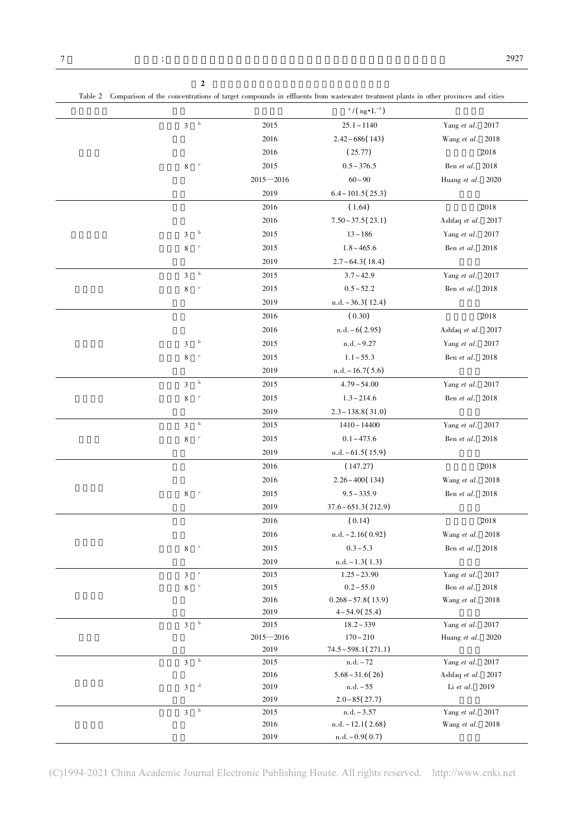| - | the contract of the contract of the contract of the contract of the contract of the contract of the contract of |  |
|---|-----------------------------------------------------------------------------------------------------------------|--|
|   |                                                                                                                 |  |
|   | the contract of the contract of the contract of the contract of the contract of the contract of the contract of |  |
|   |                                                                                                                 |  |

|                |                           |               | $a/(ng \cdot L^{-1})$         |                    |
|----------------|---------------------------|---------------|-------------------------------|--------------------|
| $\mathfrak{Z}$ | $_{\rm b}$                | 2015          | $25.1 - 1140$                 | Yang et al. 2017   |
|                |                           | 2016          | $2.42 \div 686(143)$          | Wang et al. 2018   |
|                |                           | 2016          | (25.77)                       | 2018               |
| 8              | $^{\rm c}$                | 2015          | $0.5 - 376.5$                 | Ben et al. 2018    |
|                |                           | $2015 - 2016$ | $60 - 90$                     | Huang et al. 2020  |
|                |                           | 2019          | $6.4 \sim 101.5(25.3)$        |                    |
|                |                           | 2016          | (1.64)                        | 2018               |
|                |                           | 2016          | $7.50 - 37.5(23.1)$           | Ashfaq et al. 2017 |
| 3              | $\mathbf b$               | 2015          | $13 - 186$                    | Yang et al. 2017   |
| 8              | $\mathbf c$               | 2015          | $1.8 - 465.6$                 | Ben et al. 2018    |
|                |                           | 2019          | $2.7 - 64.3(18.4)$            |                    |
| 3              | $_{\rm b}$                | 2015          | $3.7 - 42.9$                  | Yang et al. 2017   |
| 8              | $\mathbf c$               | 2015          | $0.5 - 52.2$                  | Ben et al. 2018    |
|                |                           | 2019          | $n.d. \sim 36.3(12.4)$        |                    |
|                |                           | 2016          | (0.30)                        | 2018               |
|                |                           | 2016          | n.d. ~ 6(2.95)                | Ashfaq et al. 2017 |
| 3              | $\boldsymbol{b}$          | 2015          | $n.d. \sim 9.27$              | Yang et al. 2017   |
| 8              | $\mathbf c$               | 2015          | $1.1 - 55.3$                  | Ben et al. 2018    |
|                |                           | 2019          | $n.d. \sim 16.7(5.6)$         |                    |
| 3              | $_{\rm b}$                | 2015          | $4.79 - 54.00$                | Yang et al. 2017   |
| 8              | $\mathbf c$               | 2015          | $1.3 - 214.6$                 | Ben et al. 2018    |
|                |                           | 2019          | $2.3 \sim 138.8(31.0)$        |                    |
| 3              | $_{\rm b}$                | 2015          | $1410 - 14400$                | Yang et al. 2017   |
| 8              | $\mathbf c$               | 2015          | $0.1 - 473.6$                 | Ben et al. 2018    |
|                |                           | 2019          | $n.d. \sim 61.5(15.9)$        |                    |
|                |                           | 2016          | (147.27)                      | 2018               |
|                |                           | 2016          | $2.26 \times 400(134)$        | Wang et al. 2018   |
| 8              | $\mathbf c$               | 2015          | $9.5 - 335.9$                 | Ben et al. 2018    |
|                |                           | 2019          | $37.6 \times 651.3(212.9)$    |                    |
|                |                           | 2016          | (0.14)                        | 2018               |
|                |                           | 2016          | $n.d. \sim 2.16(0.92)$        | Wang et al. 2018   |
| 8              | $\mathbf c$               | 2015          | $0.3 - 5.3$                   | Ben et al. 2018    |
|                |                           | 2019          | $n.d. \sim 1.3(1.3)$          |                    |
| 3              | $\rm ^{e}$                | 2015          | $1.25 - 23.90$                | Yang et al. 2017   |
| 8              | $^{\rm c}$                | 2015          | $0.2 - 55.0$                  | Ben et al. 2018    |
|                |                           | 2016          | $0.268 \sim 57.8(13.9)$       | Wang et al. 2018   |
|                |                           | 2019          | $4 \sim 54.9(25.4)$           |                    |
| 3              | $\boldsymbol{\mathrm{b}}$ | 2015          | $18.2 - 339$                  | Yang et al. 2017   |
|                |                           | $2015 - 2016$ | $170 - 210$                   | Huang et al. 2020  |
|                |                           | 2019          | $74.5 \div 598.1(271.1)$      |                    |
| $\mathfrak{Z}$ | $_{\rm b}$                | 2015          | $\mathrm{n.d.}\!\sim\!72$     | Yang et al. 2017   |
|                | $\mathbf{d}$              | 2016          | $5.68 \div 31.6(26)$          | Ashfaq et al. 2017 |
| 3              |                           | 2019<br>2019  | n.d. ~ 55<br>$2.0 - 85(27.7)$ | Li et al. 2019     |
| $\mathfrak{Z}$ | $_{\rm b}$                | 2015          | $n.d. \sim 3.57$              | Yang et al. 2017   |
|                |                           | 2016          | $n.d. \sim 12.1(2.68)$        | Wang et al. 2018   |
|                |                           | 2019          | n.d. ~0.9(0.7)                |                    |

Table 2 Comparison of the concentrations of target compounds in effluents from wastewater treatment plants in other provinces and cities

 $2$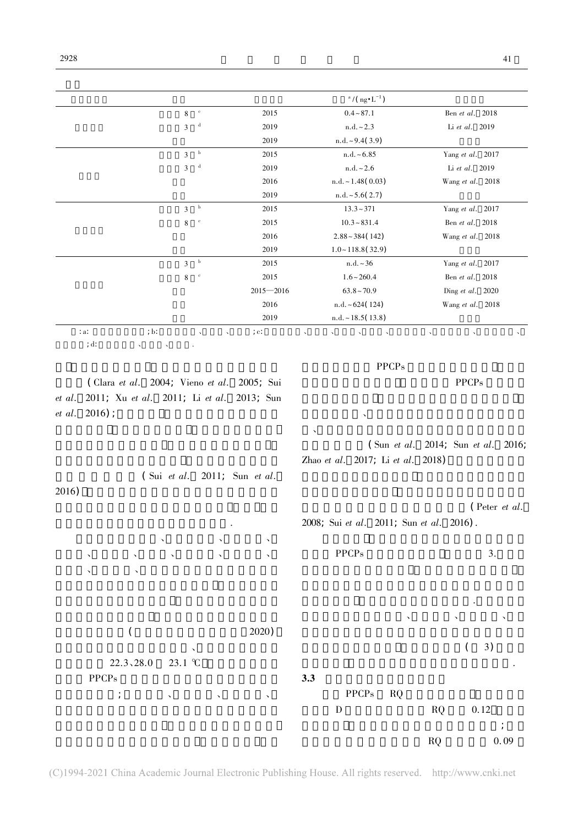| $\cdot$ a.<br>; d:<br>$et \; al.$<br>$et \; al.$ |                                                                     | $\mathbf d$<br>2019       | $\rm{n.d.}\sim2.3$                          | Li et al. 2019                              |
|--------------------------------------------------|---------------------------------------------------------------------|---------------------------|---------------------------------------------|---------------------------------------------|
|                                                  |                                                                     | 2019                      | $n.d. \sim 9.4(3.9)$                        |                                             |
|                                                  | 3                                                                   | $_{\rm b}$<br>2015        | n.d. ~ 6.85                                 | Yang et al. 2017                            |
|                                                  | 3                                                                   | $\mathbf d$<br>2019       | $n.d. \sim 2.6$                             | Li et al. 2019                              |
|                                                  |                                                                     | 2016                      | $n.d. \sim 1.48(0.03)$                      | Wang et al. 2018                            |
|                                                  |                                                                     | 2019                      | $n.d. \sim 5.6(2.7)$                        |                                             |
|                                                  | 3                                                                   | $_{\rm b}$<br>2015        | $13.3 - 371$                                | Yang et al. 2017                            |
|                                                  | 8                                                                   | $\rm ^{c}$<br>2015        | $10.3 - 831.4$                              | Ben et al. 2018                             |
|                                                  |                                                                     | 2016                      | $2.88 - 384(142)$                           | Wang et al. 2018                            |
|                                                  |                                                                     | 2019                      | $1.0 \sim 118.8(32.9)$                      |                                             |
|                                                  | 3                                                                   | $_{\rm b}$<br>2015        | n.d. ~ 36                                   | Yang et al. 2017                            |
|                                                  | 8                                                                   | $\mathbf c$<br>2015       | $1.6 - 260.4$                               | Ben et al. 2018                             |
|                                                  |                                                                     | $2015 - 2016$             | $63.8 \sim 70.9$                            | Ding et al. 2020                            |
|                                                  |                                                                     | 2016                      | n.d. ~624(124)                              | Wang et al. 2018                            |
|                                                  |                                                                     | 2019                      | n.d. ~18.5(13.8)                            |                                             |
|                                                  | ; b:                                                                | , c.                      |                                             |                                             |
|                                                  |                                                                     |                           |                                             |                                             |
| 2016)                                            | (Clara et al. 2004; Vieno et al.<br>2011; Xu et al. 2011; Li et al. | 2005; Sui<br>$2013$ ; Sun | <b>PPCPs</b>                                | <b>PPCPs</b>                                |
|                                                  | $2016$ ;<br>$\int$ Sui <i>et al.</i>                                | 2011; Sun et al.          | ╮<br>╮<br>Zhao et al. 2017; Li et al. 2018) | $\int$ Sun et al. 2014; Sun et al.<br>2016; |

 $\frac{a}{\log} \cdot L^{-1}$ 

 $8 \t 2015 \t 0.4 \t 87.1$  Ben *et al.* 2018

 $($  2020) 在本研究采样季中北京市春季、夏季和秋季的平均  $22.3, 28.0$  23.1 ℃ PPCP<sub>s</sub>  $f(x) = \frac{1}{2} \int_{-\infty}^{\infty} \frac{1}{2} \cos(\theta - \theta) \cos(\theta - \theta) \cos(\theta - \theta) \sin(\theta - \theta)$ 季节的浓度 这与本研究的结果较一致.但值得注意 的是本研究中双氯芬酸、甲芬那酸、氧氟沙星、诺氟  $(3)$ 的差异性 这需要在后续的研究中进一步去证实.  $3.3$ PPCPs RQ D RQ 0.12  $\mathcal{L}_{\mathcal{A}}$  $RQ$  0. 09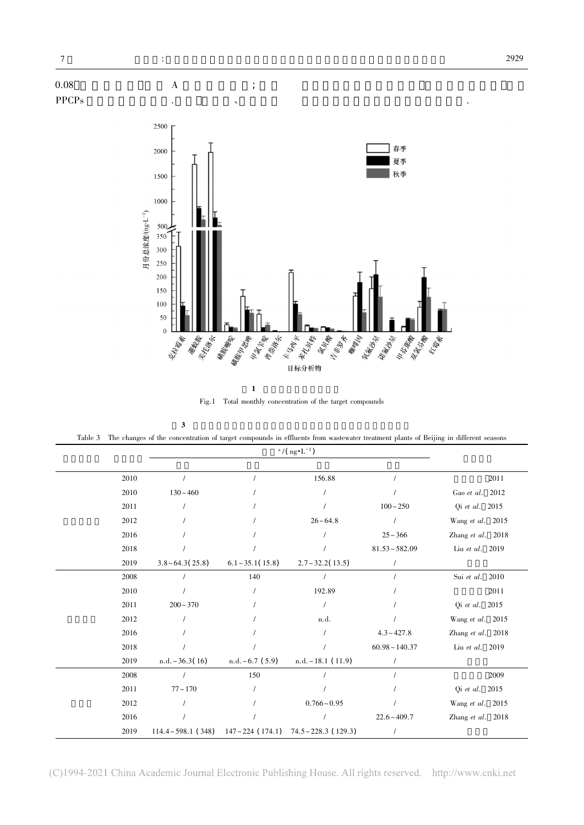



Fig.1 Total monthly concentration of the target compounds

PPCP<sub>s</sub>

Table 3 The changes of the concentration of target compounds in effluents from wastewater treatment plants of Beijing in different seasons

| 2010 |                       |                       | 156.88                                                                    |                     | 2011              |
|------|-----------------------|-----------------------|---------------------------------------------------------------------------|---------------------|-------------------|
| 2010 | $130 - 460$           |                       |                                                                           |                     | Gao et al. 2012   |
| 2011 |                       |                       |                                                                           | $100 - 250$         | Qi et al. 2015    |
| 2012 |                       |                       | $26 - 64.8$                                                               |                     | Wang et al. 2015  |
| 2016 |                       |                       |                                                                           | $25 - 366$          | Zhang et al. 2018 |
| 2018 |                       |                       |                                                                           | $81.53 - 582.09$    | Liu et al. 2019   |
| 2019 | $3.8 \div 64.3(25.8)$ | $6.1 \sim 35.1(15.8)$ | $2.7 - 32.2(13.5)$                                                        |                     |                   |
| 2008 |                       | 140                   |                                                                           |                     | Sui et al. 2010   |
| 2010 |                       |                       | 192.89                                                                    |                     | 2011              |
| 2011 | $200 - 370$           |                       | $\prime$                                                                  |                     | Qi et al. 2015    |
| 2012 |                       |                       | n.d.                                                                      |                     | Wang et al. 2015  |
| 2016 |                       |                       |                                                                           | $4.3 - 427.8$       | Zhang et al. 2018 |
| 2018 |                       |                       |                                                                           | $60.98 \sim 140.37$ | Liu et al. 2019   |
| 2019 | $n.d. \sim 36.3(16)$  | n.d. ~6.7(5.9)        | $n.d. ~18.1$ (11.9)                                                       |                     |                   |
| 2008 |                       | 150                   |                                                                           |                     | 2009              |
| 2011 | $77 - 170$            |                       |                                                                           |                     | Qi et al. 2015    |
| 2012 |                       |                       | $0.766 - 0.95$                                                            |                     | Wang et al. 2015  |
| 2016 |                       |                       |                                                                           | $22.6 - 409.7$      | Zhang et al. 2018 |
| 2019 |                       |                       | $114.4 \sim 598.1$ (348) $147 \sim 224$ (174.1) $74.5 \sim 228.3$ (129.3) |                     |                   |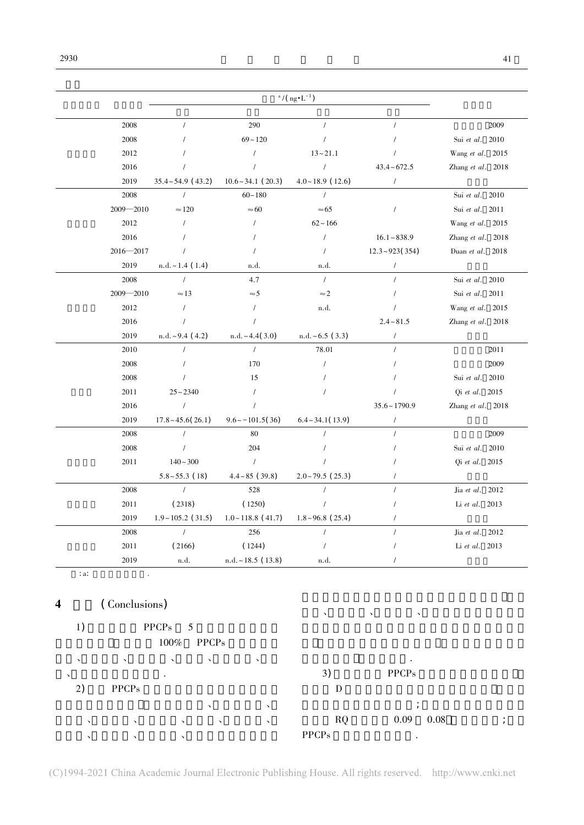|            |               |                         |                         | $a / (ng \cdot L^{-1})$  |                      |                   |
|------------|---------------|-------------------------|-------------------------|--------------------------|----------------------|-------------------|
|            | 2008          | $\sqrt{2}$              | 290                     | $\sqrt{ }$               |                      | 2009              |
|            | 2008          |                         | $69 - 120$              | $\prime$                 |                      | Sui et al. 2010   |
|            | 2012          |                         | $\prime$                | $13 - 21.1$              |                      | Wang et al. 2015  |
|            | 2016          | $\prime$                | $\prime$                | $\sqrt{2}$               | $43.4 - 672.5$       | Zhang et al. 2018 |
|            | 2019          | $35.4 - 54.9$ (43.2)    | $10.6 \sim 34.1$ (20.3) | $4.0 \sim 18.9$ (12.6)   | $\sqrt{2}$           |                   |
|            | 2008          | $\sqrt{2}$              | $60 - 180$              | $\sqrt{2}$               |                      | Sui et al. 2010   |
|            | $2009 - 2010$ | $\approx$ 120           | $\approx 60$            | $\approx 65$             | $\overline{1}$       | Sui et al. 2011   |
|            | 2012          | $\prime$                | $\prime$                | $62 - 166$               |                      | Wang et al. 2015  |
|            | 2016          |                         |                         | $\sqrt{2}$               | $16.1 - 838.9$       | Zhang et al. 2018 |
|            | $2016 - 2017$ | $\prime$                | $\prime$                | $\sqrt{2}$               | $12.3 \div 923(354)$ | Duan et al. 2018  |
|            | 2019          | $n.d. \sim 1.4$ (1.4)   | n.d.                    | n.d.                     |                      |                   |
|            | 2008          | $\prime$                | 4.7                     | $\sqrt{2}$               |                      | Sui et al. 2010   |
|            | $2009 - 2010$ | $\approx$ 13            | $\approx$ 5             | $\approx$ 2              |                      | Sui et al. 2011   |
|            | 2012          | $\prime$                | $\overline{1}$          | n.d.                     |                      | Wang et al. 2015  |
|            | 2016          | $\prime$                | $\prime$                |                          | $2.4 - 81.5$         | Zhang et al. 2018 |
|            | 2019          | $n.d. ~ 9.4$ (4.2)      | n.d. ~4.4(3.0)          | $n.d. ~6.5$ (3.3)        | $\prime$             |                   |
|            | 2010          |                         | $\sqrt{2}$              | 78.01                    |                      | 2011              |
|            | 2008          |                         | 170                     | $\prime$                 |                      | 2009              |
|            | 2008          |                         | 15                      |                          |                      | Sui et al. 2010   |
|            | 2011          | $25 - 2340$             |                         |                          |                      | Qi et al. 2015    |
|            | 2016          | $\sqrt{ }$              | $\prime$                |                          | $35.6 \sim 1790.9$   | Zhang et al. 2018 |
|            | 2019          | $17.8 - 45.6(26.1)$     | $9.6 \sim -101.5(36)$   | $6.4 \sim 34.1(13.9)$    | $\sqrt{2}$           |                   |
|            | 2008          | $\prime$                | 80                      | $\prime$                 |                      | 2009              |
|            | 2008          | $\prime$                | 204                     |                          |                      | Sui et al. 2010   |
|            | 2011          | $140 - 300$             | $\sqrt{2}$              |                          |                      | Qi et al. 2015    |
|            |               | $5.8 \sim 55.3$ (18)    | $4.4 - 85$ (39.8)       | $2.0 \times 79.5$ (25.3) |                      |                   |
|            | 2008          | $\sqrt{ }$              | 528                     |                          |                      | Jia et al. 2012   |
|            | 2011          | (2318)                  | (1250)                  |                          |                      | Li et al. 2013    |
|            | 2019          | $1.9 - 105.2$ (31.5)    | $1.0 \sim 118.8$ (41.7) | $1.8 \sim 96.8$ (25.4)   |                      |                   |
|            | 2008          | $\sqrt{ }$              | 256                     | $\overline{1}$           |                      | Jia et al. 2012   |
|            | 2011          | (2166)                  | (1244)                  | $\prime$                 |                      | Li et al. 2013    |
| $\cdot$ a. | 2019          | n.d.                    | $n.d. ~ 18.5$ (13.8)    | n.d.                     |                      |                   |
|            |               |                         |                         |                          |                      |                   |
|            | (Conclusions) |                         |                         |                          |                      |                   |
| 1)         |               | ${\rm PPCPs}$<br>5      |                         |                          |                      |                   |
|            |               | $100\%$<br><b>PPCPs</b> |                         |                          |                      |                   |
|            |               |                         |                         |                          |                      |                   |
|            |               |                         |                         | 3)                       | <b>PPCPs</b>         |                   |
| 2)         | <b>PPCPs</b>  |                         |                         | ${\rm D}$                |                      |                   |
|            |               |                         |                         |                          |                      |                   |
|            |               |                         |                         | <b>RQ</b>                | 0.09                 | 0.08              |
|            |               |                         |                         | <b>PPCPs</b>             |                      |                   |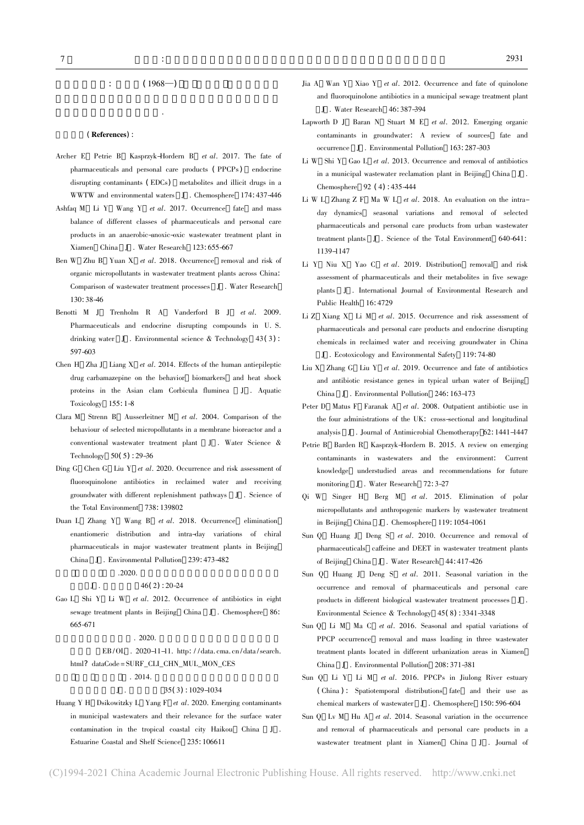#### (References) :

染物的筛查研究和风险评价.

- Archer E Petrie B Kasprzyk-Hordern B et al. 2017. The fate of pharmaceuticals and personal care products (PPCPs) endocrine disrupting contaminants (EDCs) metabolites and illicit drugs in a WWTW and environmental waters J . Chemosphere 174: 437-446
- Ashfaq M Li Y Wang Y et al. 2017. Occurrence fate and mass balance of different classes of pharmaceuticals and personal care products in an anaerobic-anoxic-oxic wastewater treatment plant in Xiamen China J . Water Research 123: 655-667
- Ben W Zhu B Yuan X et al. 2018. Occurrence removal and risk of organic micropollutants in wastewater treatment plants across China: Comparison of wastewater treatment processes J . Water Research 130: 38-46
- Benotti M J Trenholm R A Vanderford B J et al. 2009. Pharmaceuticals and endocrine disrupting compounds in U. S. drinking water J. Environmental science  $\&$  Technology 43(3): 597-603
- Chen H  $Z$ ha J Liang X et al. 2014. Effects of the human antiepileptic drug carbamazepine on the behavior biomarkers and heat shock proteins in the Asian clam Corbicula fluminea J . Aquatic Toxicology 155: 1-8
- Clara M Strenn B Ausserleitner M et al. 2004. Comparison of the behaviour of selected micropollutants in a membrane bioreactor and a conventional wastewater treatment plant J . Water Science & Technology 50( 5) : 29-36
- Ding G Chen G Liu Y et al. 2020. Occurrence and risk assessment of fluoroquinolone antibiotics in reclaimed water and receiving groundwater with different replenishment pathways J . Science of the Total Environment 738: 139802
- Duan L Zhang Y Wang B et al. 2018. Occurrence elimination enantiomeric distribution and intra-day variations of chiral pharmaceuticals in major wastewater treatment plants in Beijing China J . Environmental Pollution 239: 473-482

### $.2020.$

#### $J \t33.46(2): 20-24$

Gao L Shi Y Li W et al. 2012. Occurrence of antibiotics in eight sewage treatment plants in Beijing China J . Chemosphere 86: 665-671

#### $. 2020.$

EB/OL . 2020-11-11. http://data.cma.cn/data/search. html? dataCode = SURF\_CLI\_CHN\_MUL\_MON\_CES

#### $. 2014.$

#### $J \t35(3) : 1029-1034$

Huang Y H Dsikowitzky L Yang F et al. 2020. Emerging contaminants in municipal wastewaters and their relevance for the surface water contamination in the tropical coastal city Haikou China J . Estuarine Coastal and Shelf Science 235: 106611

- Jia A Wan Y Xiao Y et al. 2012. Occurrence and fate of quinolone and fluoroquinolone antibiotics in a municipal sewage treatment plant J . Water Research 46: 387-394
- Lapworth D J Baran N Stuart M E et al. 2012. Emerging organic contaminants in groundwater: A review of sources fate and occurrence J . Environmental Pollution 163: 287-303
- Li W Shi Y Gao L et al. 2013. Occurrence and removal of antibiotics in a municipal wastewater reclamation plant in Beijing China J . Chemosphere 92 ( 4) : 435-444
- Li W L Zhang Z F Ma W L et al. 2018. An evaluation on the intraday dynamics seasonal variations and removal of selected pharmaceuticals and personal care products from urban wastewater treatment plants J . Science of the Total Environment 640-641: 1139-1147
- Li Y Niu X Yao C et al. 2019. Distribution removal and risk assessment of pharmaceuticals and their metabolites in five sewage plants J . International Journal of Environmental Research and Public Health 16: 4729
- Li Z Xiang X Li M et al. 2015. Occurrence and risk assessment of pharmaceuticals and personal care products and endocrine disrupting chemicals in reclaimed water and receiving groundwater in China J . Ecotoxicology and Environmental Safety 119: 74-80
- Liu X Zhang G Liu Y et al. 2019. Occurrence and fate of antibiotics and antibiotic resistance genes in typical urban water of Beijing China J . Environmental Pollution 246: 163-173
- Peter D Matus F Faranak A et al. 2008. Outpatient antibiotic use in the four administrations of the UK: cross-sectional and longitudinal analysis J . Journal of Antimicrobial Chemotherapy 62: 1441-1447
- Petrie B Barden R Kasprzyk-Hordern B. 2015. A review on emerging contaminants in wastewaters and the environment: Current knowledge understudied areas and recommendations for future monitoring J . Water Research 72: 3-27
- Qi W Singer H Berg M et al. 2015. Elimination of polar micropollutants and anthropogenic markers by wastewater treatment in Beijing China J . Chemosphere 119: 1054-1061
- Sun Q Huang J Deng S et al. 2010. Occurrence and removal of pharmaceuticals caffeine and DEET in wastewater treatment plants of Beijing China J . Water Research 44: 417-426
- Sun Q Huang J Deng S et al. 2011. Seasonal variation in the occurrence and removal of pharmaceuticals and personal care products in different biological wastewater treatment processes J . Environmental Science & Technology 45( 8) : 3341-3348
- Sun Q Li M Ma C et al. 2016. Seasonal and spatial variations of PPCP occurrence removal and mass loading in three wastewater treatment plants located in different urbanization areas in Xiamen China J . Environmental Pollution 208: 371-381
- Sun Q Li Y Li M et al. 2016. PPCPs in Jiulong River estuary ( China ) : Spatiotemporal distributions fate and their use as chemical markers of wastewater J . Chemosphere 150: 596-604
- Sun Q Lv M Hu A et al. 2014. Seasonal variation in the occurrence and removal of pharmaceuticals and personal care products in a wastewater treatment plant in Xiamen China J . Journal of